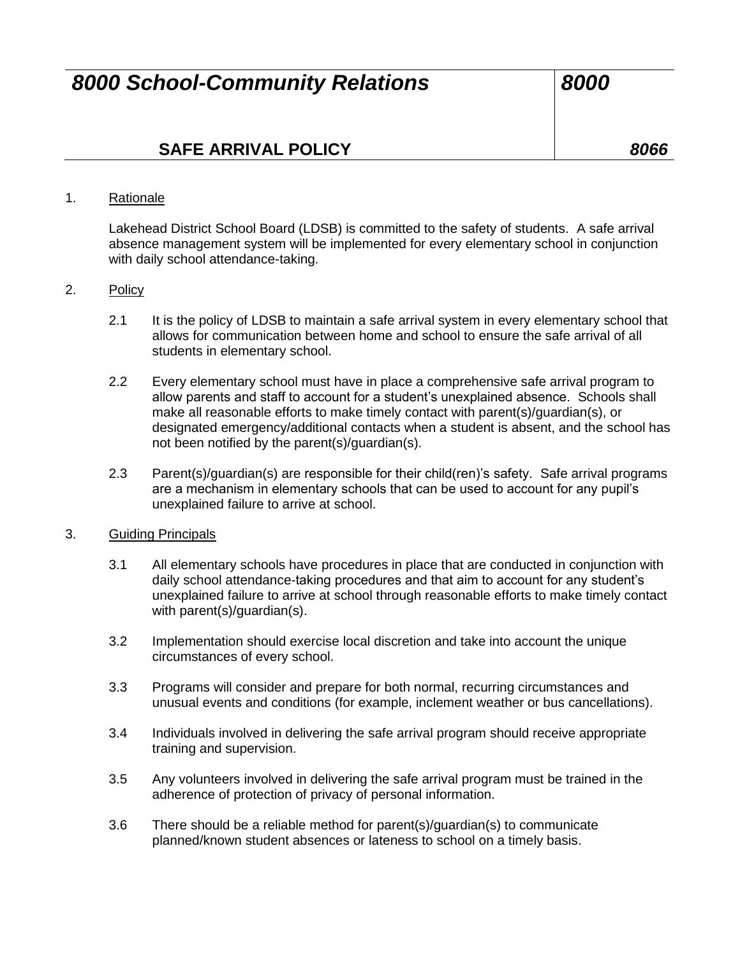## *8000 School-Community Relations 8000*

### **SAFE ARRIVAL POLICY** *8066*

#### 1. Rationale

Lakehead District School Board (LDSB) is committed to the safety of students. A safe arrival absence management system will be implemented for every elementary school in conjunction with daily school attendance-taking.

#### 2. Policy

- 2.1 It is the policy of LDSB to maintain a safe arrival system in every elementary school that allows for communication between home and school to ensure the safe arrival of all students in elementary school.
- 2.2 Every elementary school must have in place a comprehensive safe arrival program to allow parents and staff to account for a student's unexplained absence. Schools shall make all reasonable efforts to make timely contact with parent(s)/guardian(s), or designated emergency/additional contacts when a student is absent, and the school has not been notified by the parent(s)/guardian(s).
- 2.3 Parent(s)/guardian(s) are responsible for their child(ren)'s safety. Safe arrival programs are a mechanism in elementary schools that can be used to account for any pupil's unexplained failure to arrive at school.

#### 3. Guiding Principals

- 3.1 All elementary schools have procedures in place that are conducted in conjunction with daily school attendance-taking procedures and that aim to account for any student's unexplained failure to arrive at school through reasonable efforts to make timely contact with parent(s)/guardian(s).
- 3.2 Implementation should exercise local discretion and take into account the unique circumstances of every school.
- 3.3 Programs will consider and prepare for both normal, recurring circumstances and unusual events and conditions (for example, inclement weather or bus cancellations).
- 3.4 Individuals involved in delivering the safe arrival program should receive appropriate training and supervision.
- 3.5 Any volunteers involved in delivering the safe arrival program must be trained in the adherence of protection of privacy of personal information.
- 3.6 There should be a reliable method for parent(s)/guardian(s) to communicate planned/known student absences or lateness to school on a timely basis.